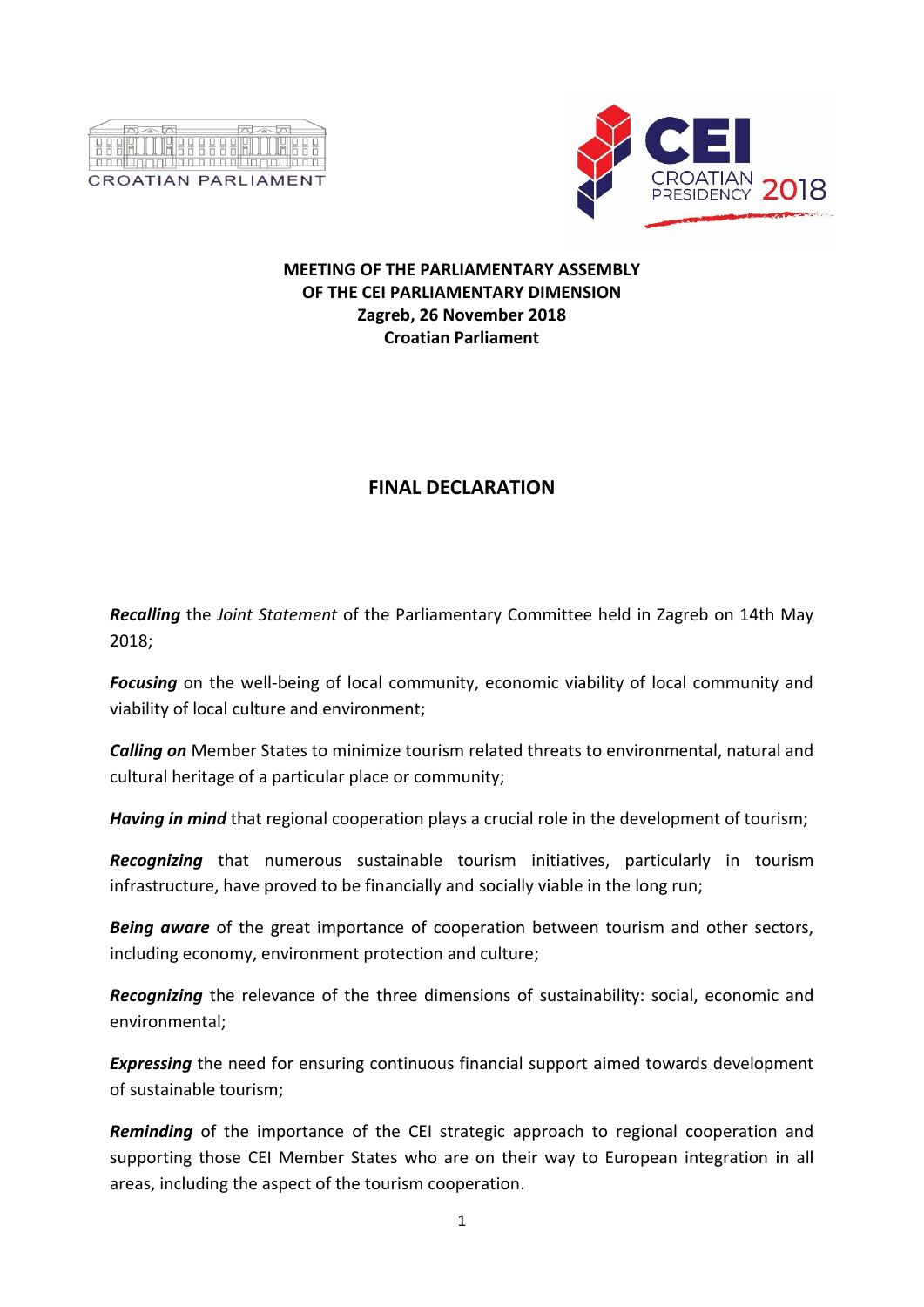



## **MEETING OF THE PARLIAMENTARY ASSEMBLY OF THE CEI PARLIAMENTARY DIMENSION Zagreb, 26 November 2018 Croatian Parliament**

## **FINAL DECLARATION**

*Recalling* the *Joint Statement* of the Parliamentary Committee held in Zagreb on 14th May 2018;

*Focusing* on the well-being of local community, economic viability of local community and viability of local culture and environment;

*Calling on* Member States to minimize tourism related threats to environmental, natural and cultural heritage of a particular place or community;

*Having in mind* that regional cooperation plays a crucial role in the development of tourism;

*Recognizing* that numerous sustainable tourism initiatives, particularly in tourism infrastructure, have proved to be financially and socially viable in the long run;

*Being aware* of the great importance of cooperation between tourism and other sectors, including economy, environment protection and culture;

*Recognizing* the relevance of the three dimensions of sustainability: social, economic and environmental;

*Expressing* the need for ensuring continuous financial support aimed towards development of sustainable tourism;

*Reminding* of the importance of the CEI strategic approach to regional cooperation and supporting those CEI Member States who are on their way to European integration in all areas, including the aspect of the tourism cooperation.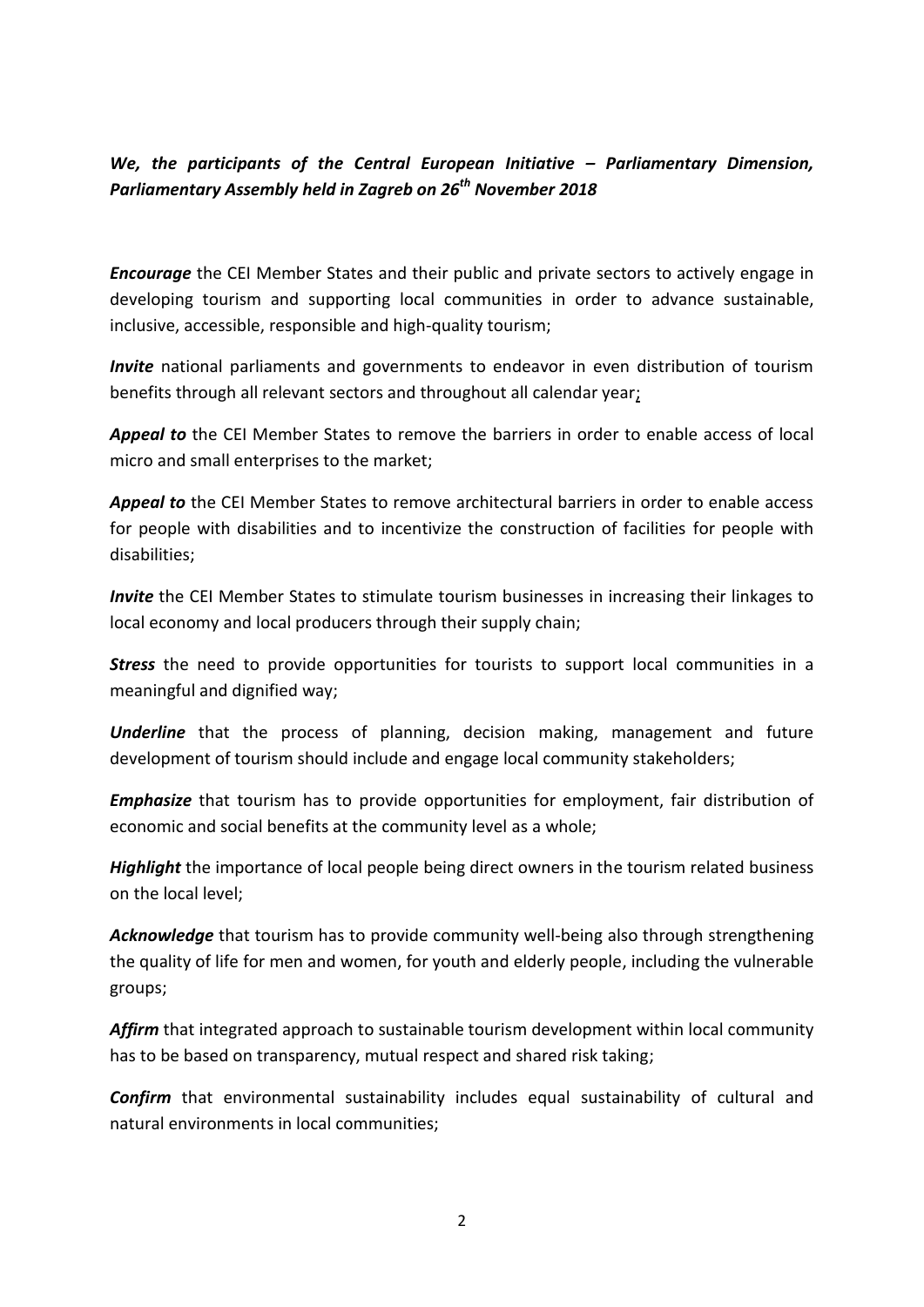## *We, the participants of the Central European Initiative – Parliamentary Dimension, Parliamentary Assembly held in Zagreb on 26th November 2018*

*Encourage* the CEI Member States and their public and private sectors to actively engage in developing tourism and supporting local communities in order to advance sustainable, inclusive, accessible, responsible and high-quality tourism;

*Invite* national parliaments and governments to endeavor in even distribution of tourism benefits through all relevant sectors and throughout all calendar year;

*Appeal to* the CEI Member States to remove the barriers in order to enable access of local micro and small enterprises to the market;

*Appeal to* the CEI Member States to remove architectural barriers in order to enable access for people with disabilities and to incentivize the construction of facilities for people with disabilities;

*Invite* the CEI Member States to stimulate tourism businesses in increasing their linkages to local economy and local producers through their supply chain;

**Stress** the need to provide opportunities for tourists to support local communities in a meaningful and dignified way;

*Underline* that the process of planning, decision making, management and future development of tourism should include and engage local community stakeholders;

*Emphasize* that tourism has to provide opportunities for employment, fair distribution of economic and social benefits at the community level as a whole;

*Highlight* the importance of local people being direct owners in the tourism related business on the local level;

*Acknowledge* that tourism has to provide community well-being also through strengthening the quality of life for men and women, for youth and elderly people, including the vulnerable groups;

*Affirm* that integrated approach to sustainable tourism development within local community has to be based on transparency, mutual respect and shared risk taking;

*Confirm* that environmental sustainability includes equal sustainability of cultural and natural environments in local communities;